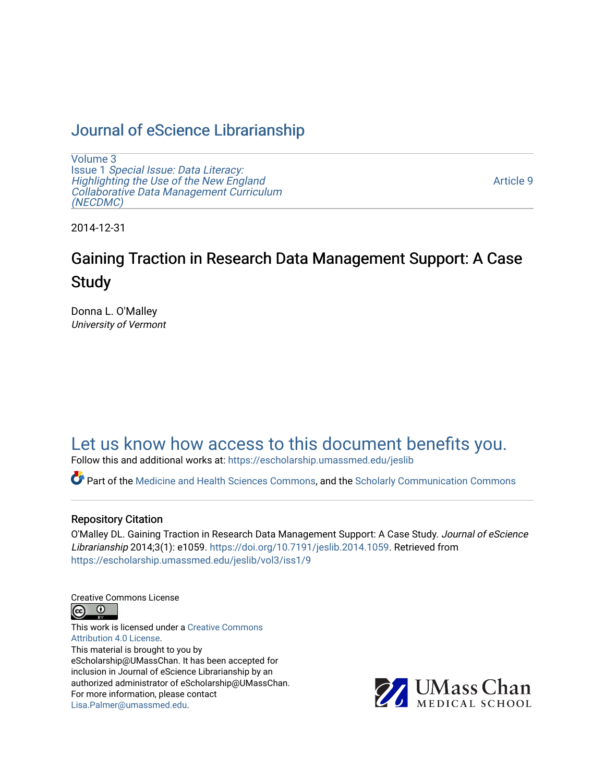# [Journal of eScience Librarianship](https://escholarship.umassmed.edu/jeslib)

[Volume 3](https://escholarship.umassmed.edu/jeslib/vol3) Issue 1 [Special Issue: Data Literacy:](https://escholarship.umassmed.edu/jeslib/vol3/iss1) [Highlighting the Use of the New England](https://escholarship.umassmed.edu/jeslib/vol3/iss1) [Collaborative Data Management Curriculum](https://escholarship.umassmed.edu/jeslib/vol3/iss1) [\(NECDMC\)](https://escholarship.umassmed.edu/jeslib/vol3/iss1) 

[Article 9](https://escholarship.umassmed.edu/jeslib/vol3/iss1/9) 

2014-12-31

# Gaining Traction in Research Data Management Support: A Case **Study**

Donna L. O'Malley University of Vermont

# [Let us know how access to this document benefits you.](https://arcsapps.umassmed.edu/redcap/surveys/?s=XWRHNF9EJE)

Follow this and additional works at: [https://escholarship.umassmed.edu/jeslib](https://escholarship.umassmed.edu/jeslib?utm_source=escholarship.umassmed.edu%2Fjeslib%2Fvol3%2Fiss1%2F9&utm_medium=PDF&utm_campaign=PDFCoverPages) 

Part of the [Medicine and Health Sciences Commons,](http://network.bepress.com/hgg/discipline/648?utm_source=escholarship.umassmed.edu%2Fjeslib%2Fvol3%2Fiss1%2F9&utm_medium=PDF&utm_campaign=PDFCoverPages) and the [Scholarly Communication Commons](http://network.bepress.com/hgg/discipline/1272?utm_source=escholarship.umassmed.edu%2Fjeslib%2Fvol3%2Fiss1%2F9&utm_medium=PDF&utm_campaign=PDFCoverPages)

#### Repository Citation

O'Malley DL. Gaining Traction in Research Data Management Support: A Case Study. Journal of eScience Librarianship 2014;3(1): e1059. [https://doi.org/10.7191/jeslib.2014.1059.](https://doi.org/10.7191/jeslib.2014.1059) Retrieved from [https://escholarship.umassmed.edu/jeslib/vol3/iss1/9](https://escholarship.umassmed.edu/jeslib/vol3/iss1/9?utm_source=escholarship.umassmed.edu%2Fjeslib%2Fvol3%2Fiss1%2F9&utm_medium=PDF&utm_campaign=PDFCoverPages) 

Creative Commons License



This work is licensed under a [Creative Commons](https://creativecommons.org/licenses/by/4.0/) [Attribution 4.0 License.](https://creativecommons.org/licenses/by/4.0/) This material is brought to you by eScholarship@UMassChan. It has been accepted for inclusion in Journal of eScience Librarianship by an authorized administrator of eScholarship@UMassChan. For more information, please contact [Lisa.Palmer@umassmed.edu](mailto:Lisa.Palmer@umassmed.edu).

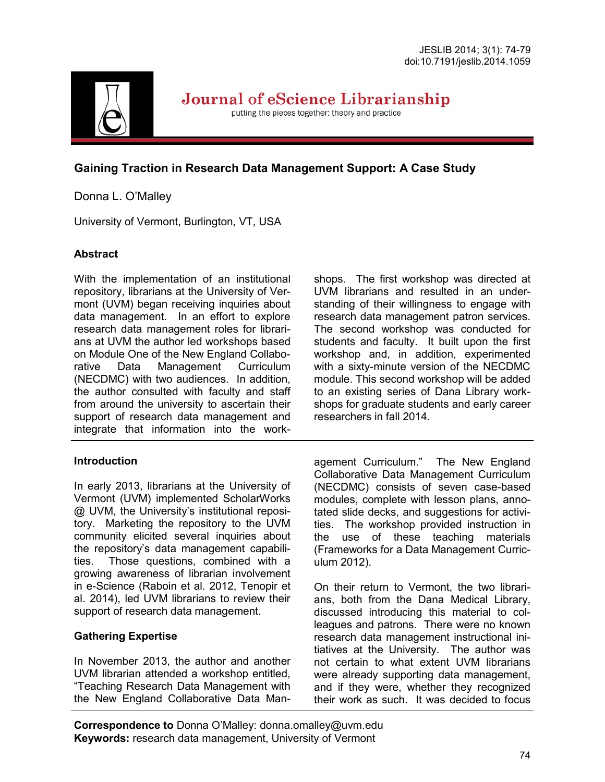

Journal of eScience Librarianship

putting the pieces together: theory and practice

# **Gaining Traction in Research Data Management Support: A Case Study**

# Donna L. O'Malley

University of Vermont, Burlington, VT, USA

### **Abstract**

With the implementation of an institutional repository, librarians at the University of Vermont (UVM) began receiving inquiries about data management. In an effort to explore research data management roles for librarians at UVM the author led workshops based on Module One of the New England Collaborative Data Management Curriculum (NECDMC) with two audiences. In addition, the author consulted with faculty and staff from around the university to ascertain their support of research data management and integrate that information into the work-

#### **Introduction**

In early 2013, librarians at the University of Vermont (UVM) implemented ScholarWorks @ UVM, the University's institutional repository. Marketing the repository to the UVM community elicited several inquiries about the repository's data management capabilities. Those questions, combined with a growing awareness of librarian involvement in e-Science (Raboin et al. 2012, Tenopir et al. 2014), led UVM librarians to review their support of research data management.

# **Gathering Expertise**

In November 2013, the author and another UVM librarian attended a workshop entitled, "Teaching Research Data Management with the New England Collaborative Data Manshops. The first workshop was directed at UVM librarians and resulted in an understanding of their willingness to engage with research data management patron services. The second workshop was conducted for students and faculty. It built upon the first workshop and, in addition, experimented with a sixty-minute version of the NECDMC module. This second workshop will be added to an existing series of Dana Library workshops for graduate students and early career researchers in fall 2014.

agement Curriculum." The New England Collaborative Data Management Curriculum (NECDMC) consists of seven case-based modules, complete with lesson plans, annotated slide decks, and suggestions for activities. The workshop provided instruction in the use of these teaching materials (Frameworks for a Data Management Curriculum 2012).

On their return to Vermont, the two librarians, both from the Dana Medical Library, discussed introducing this material to colleagues and patrons. There were no known research data management instructional initiatives at the University. The author was not certain to what extent UVM librarians were already supporting data management, and if they were, whether they recognized their work as such. It was decided to focus

**Correspondence to** Donna O'Malley: donna.omalley@uvm.edu **Keywords:** research data management, University of Vermont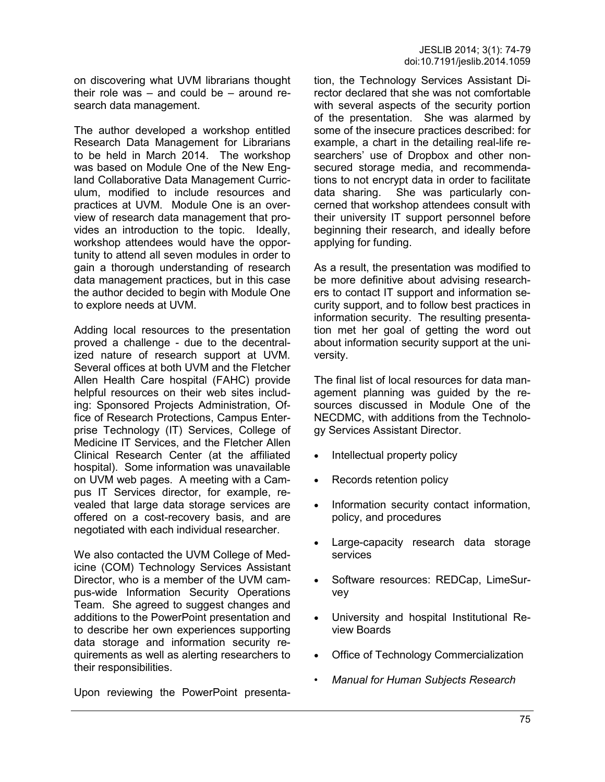on discovering what UVM librarians thought their role was – and could be – around research data management.

The author developed a workshop entitled Research Data Management for Librarians to be held in March 2014. The workshop was based on Module One of the New England Collaborative Data Management Curriculum, modified to include resources and practices at UVM. Module One is an overview of research data management that provides an introduction to the topic. Ideally, workshop attendees would have the opportunity to attend all seven modules in order to gain a thorough understanding of research data management practices, but in this case the author decided to begin with Module One to explore needs at UVM.

Adding local resources to the presentation proved a challenge - due to the decentralized nature of research support at UVM. Several offices at both UVM and the Fletcher Allen Health Care hospital (FAHC) provide helpful resources on their web sites including: Sponsored Projects Administration, Office of Research Protections, Campus Enterprise Technology (IT) Services, College of Medicine IT Services, and the Fletcher Allen Clinical Research Center (at the affiliated hospital). Some information was unavailable on UVM web pages. A meeting with a Campus IT Services director, for example, revealed that large data storage services are offered on a cost-recovery basis, and are negotiated with each individual researcher.

We also contacted the UVM College of Medicine (COM) Technology Services Assistant Director, who is a member of the UVM campus-wide Information Security Operations Team. She agreed to suggest changes and additions to the PowerPoint presentation and to describe her own experiences supporting data storage and information security requirements as well as alerting researchers to their responsibilities.

Upon reviewing the PowerPoint presenta-

tion, the Technology Services Assistant Director declared that she was not comfortable with several aspects of the security portion of the presentation. She was alarmed by some of the insecure practices described: for example, a chart in the detailing real-life researchers' use of Dropbox and other nonsecured storage media, and recommendations to not encrypt data in order to facilitate data sharing. She was particularly concerned that workshop attendees consult with their university IT support personnel before beginning their research, and ideally before applying for funding.

As a result, the presentation was modified to be more definitive about advising researchers to contact IT support and information security support, and to follow best practices in information security. The resulting presentation met her goal of getting the word out about information security support at the university.

The final list of local resources for data management planning was guided by the resources discussed in Module One of the NECDMC, with additions from the Technology Services Assistant Director.

- Intellectual property policy
- Records retention policy
- Information security contact information, policy, and procedures
- Large-capacity research data storage services
- Software resources: REDCap, LimeSurvey
- University and hospital Institutional Review Boards
- Office of Technology Commercialization
- *Manual for Human Subjects Research*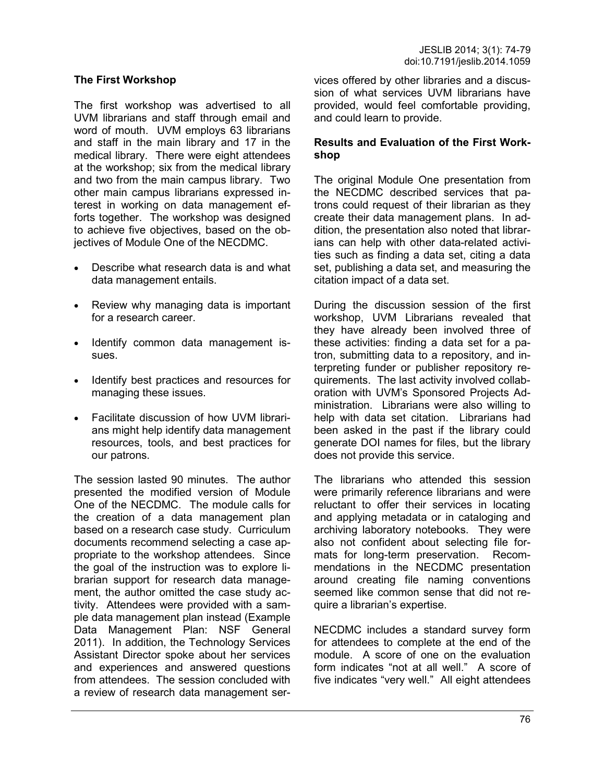#### **The First Workshop**

The first workshop was advertised to all UVM librarians and staff through email and word of mouth. UVM employs 63 librarians and staff in the main library and 17 in the medical library. There were eight attendees at the workshop; six from the medical library and two from the main campus library. Two other main campus librarians expressed interest in working on data management efforts together. The workshop was designed to achieve five objectives, based on the objectives of Module One of the NECDMC.

- Describe what research data is and what data management entails.
- Review why managing data is important for a research career.
- Identify common data management issues.
- Identify best practices and resources for managing these issues.
- Facilitate discussion of how UVM librarians might help identify data management resources, tools, and best practices for our patrons.

The session lasted 90 minutes. The author presented the modified version of Module One of the NECDMC. The module calls for the creation of a data management plan based on a research case study. Curriculum documents recommend selecting a case appropriate to the workshop attendees. Since the goal of the instruction was to explore librarian support for research data management, the author omitted the case study activity. Attendees were provided with a sample data management plan instead (Example Data Management Plan: NSF General 2011). In addition, the Technology Services Assistant Director spoke about her services and experiences and answered questions from attendees. The session concluded with a review of research data management services offered by other libraries and a discussion of what services UVM librarians have provided, would feel comfortable providing, and could learn to provide.

#### **Results and Evaluation of the First Workshop**

The original Module One presentation from the NECDMC described services that patrons could request of their librarian as they create their data management plans. In addition, the presentation also noted that librarians can help with other data-related activities such as finding a data set, citing a data set, publishing a data set, and measuring the citation impact of a data set.

During the discussion session of the first workshop, UVM Librarians revealed that they have already been involved three of these activities: finding a data set for a patron, submitting data to a repository, and interpreting funder or publisher repository requirements. The last activity involved collaboration with UVM's Sponsored Projects Administration. Librarians were also willing to help with data set citation. Librarians had been asked in the past if the library could generate DOI names for files, but the library does not provide this service.

The librarians who attended this session were primarily reference librarians and were reluctant to offer their services in locating and applying metadata or in cataloging and archiving laboratory notebooks. They were also not confident about selecting file formats for long-term preservation. Recommendations in the NECDMC presentation around creating file naming conventions seemed like common sense that did not require a librarian's expertise.

NECDMC includes a standard survey form for attendees to complete at the end of the module. A score of one on the evaluation form indicates "not at all well." A score of five indicates "very well." All eight attendees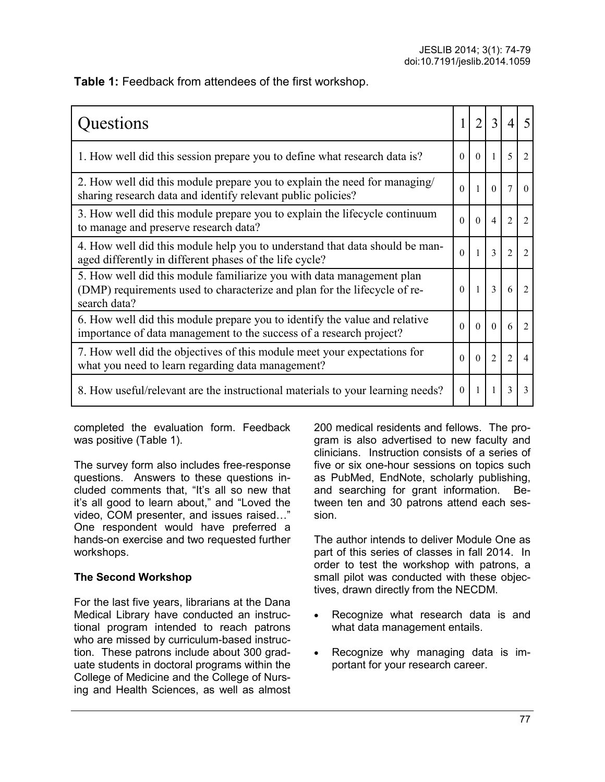**Table 1:** Feedback from attendees of the first workshop.

| Questions                                                                                                                                                          |          | $\overline{2}$ | 3              | $\overline{4}$ | 5                           |
|--------------------------------------------------------------------------------------------------------------------------------------------------------------------|----------|----------------|----------------|----------------|-----------------------------|
| 1. How well did this session prepare you to define what research data is?                                                                                          | $\Omega$ | $\mathbf{0}$   | $\mathbf{1}$   | 5              | $\overline{2}$              |
| 2. How well did this module prepare you to explain the need for managing/<br>sharing research data and identify relevant public policies?                          | $\Omega$ | 1              | $\Omega$       | 7              | $\Omega$                    |
| 3. How well did this module prepare you to explain the lifecycle continuum<br>to manage and preserve research data?                                                | $\Omega$ | $\Omega$       | $\overline{4}$ | $\overline{2}$ | $\overline{2}$              |
| 4. How well did this module help you to understand that data should be man-<br>aged differently in different phases of the life cycle?                             | $\Omega$ |                | $\overline{3}$ | $\overline{2}$ | $\overline{2}$              |
| 5. How well did this module familiarize you with data management plan<br>(DMP) requirements used to characterize and plan for the lifecycle of re-<br>search data? | $\Omega$ | $\overline{1}$ | $\mathbf{3}$   | 6              | $\overline{2}$              |
| 6. How well did this module prepare you to identify the value and relative<br>importance of data management to the success of a research project?                  | $\Omega$ | $\Omega$       | $\Omega$       | 6              | $\mathcal{D}_{\mathcal{L}}$ |
| 7. How well did the objectives of this module meet your expectations for<br>what you need to learn regarding data management?                                      | $\Omega$ | $\Omega$       | $\overline{2}$ | $\overline{2}$ | 4                           |
| 8. How useful/relevant are the instructional materials to your learning needs?                                                                                     | $\Omega$ |                |                | 3              | 3                           |

completed the evaluation form. Feedback was positive (Table 1).

The survey form also includes free-response questions. Answers to these questions included comments that, "It's all so new that it's all good to learn about," and "Loved the video, COM presenter, and issues raised…" One respondent would have preferred a hands-on exercise and two requested further workshops.

# **The Second Workshop**

For the last five years, librarians at the Dana Medical Library have conducted an instructional program intended to reach patrons who are missed by curriculum-based instruction. These patrons include about 300 graduate students in doctoral programs within the College of Medicine and the College of Nursing and Health Sciences, as well as almost

200 medical residents and fellows. The program is also advertised to new faculty and clinicians. Instruction consists of a series of five or six one-hour sessions on topics such as PubMed, EndNote, scholarly publishing, and searching for grant information. Between ten and 30 patrons attend each session.

The author intends to deliver Module One as part of this series of classes in fall 2014. In order to test the workshop with patrons, a small pilot was conducted with these objectives, drawn directly from the NECDM.

- Recognize what research data is and what data management entails.
- Recognize why managing data is important for your research career.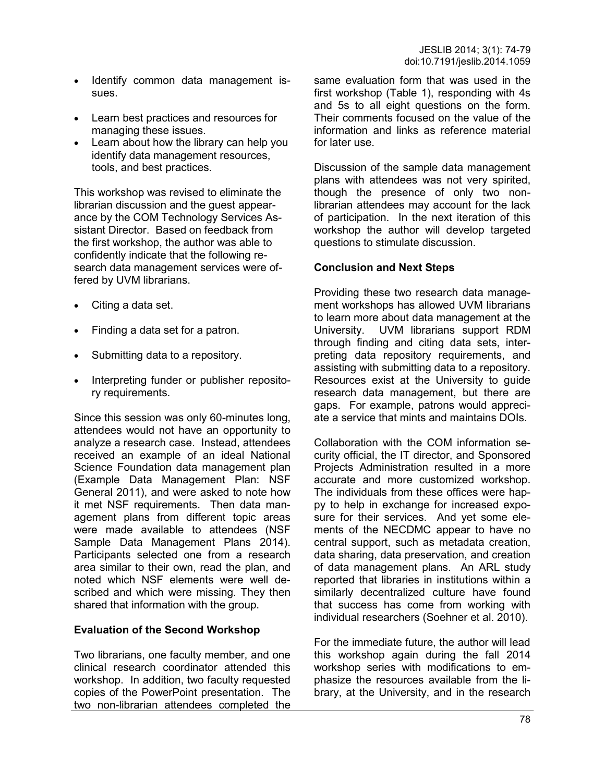- Identify common data management issues.
- Learn best practices and resources for managing these issues.
- Learn about how the library can help you identify data management resources, tools, and best practices.

This workshop was revised to eliminate the librarian discussion and the guest appearance by the COM Technology Services Assistant Director. Based on feedback from the first workshop, the author was able to confidently indicate that the following research data management services were offered by UVM librarians.

- Citing a data set.
- Finding a data set for a patron.
- Submitting data to a repository.
- Interpreting funder or publisher repository requirements.

Since this session was only 60-minutes long, attendees would not have an opportunity to analyze a research case. Instead, attendees received an example of an ideal National Science Foundation data management plan (Example Data Management Plan: NSF General 2011), and were asked to note how it met NSF requirements. Then data management plans from different topic areas were made available to attendees (NSF Sample Data Management Plans 2014). Participants selected one from a research area similar to their own, read the plan, and noted which NSF elements were well described and which were missing. They then shared that information with the group.

#### **Evaluation of the Second Workshop**

Two librarians, one faculty member, and one clinical research coordinator attended this workshop. In addition, two faculty requested copies of the PowerPoint presentation. The two non-librarian attendees completed the same evaluation form that was used in the first workshop (Table 1), responding with 4s and 5s to all eight questions on the form. Their comments focused on the value of the information and links as reference material for later use.

Discussion of the sample data management plans with attendees was not very spirited, though the presence of only two nonlibrarian attendees may account for the lack of participation. In the next iteration of this workshop the author will develop targeted questions to stimulate discussion.

#### **Conclusion and Next Steps**

Providing these two research data management workshops has allowed UVM librarians to learn more about data management at the University. UVM librarians support RDM through finding and citing data sets, interpreting data repository requirements, and assisting with submitting data to a repository. Resources exist at the University to guide research data management, but there are gaps. For example, patrons would appreciate a service that mints and maintains DOIs.

Collaboration with the COM information security official, the IT director, and Sponsored Projects Administration resulted in a more accurate and more customized workshop. The individuals from these offices were happy to help in exchange for increased exposure for their services. And yet some elements of the NECDMC appear to have no central support, such as metadata creation, data sharing, data preservation, and creation of data management plans. An ARL study reported that libraries in institutions within a similarly decentralized culture have found that success has come from working with individual researchers (Soehner et al. 2010).

For the immediate future, the author will lead this workshop again during the fall 2014 workshop series with modifications to emphasize the resources available from the library, at the University, and in the research